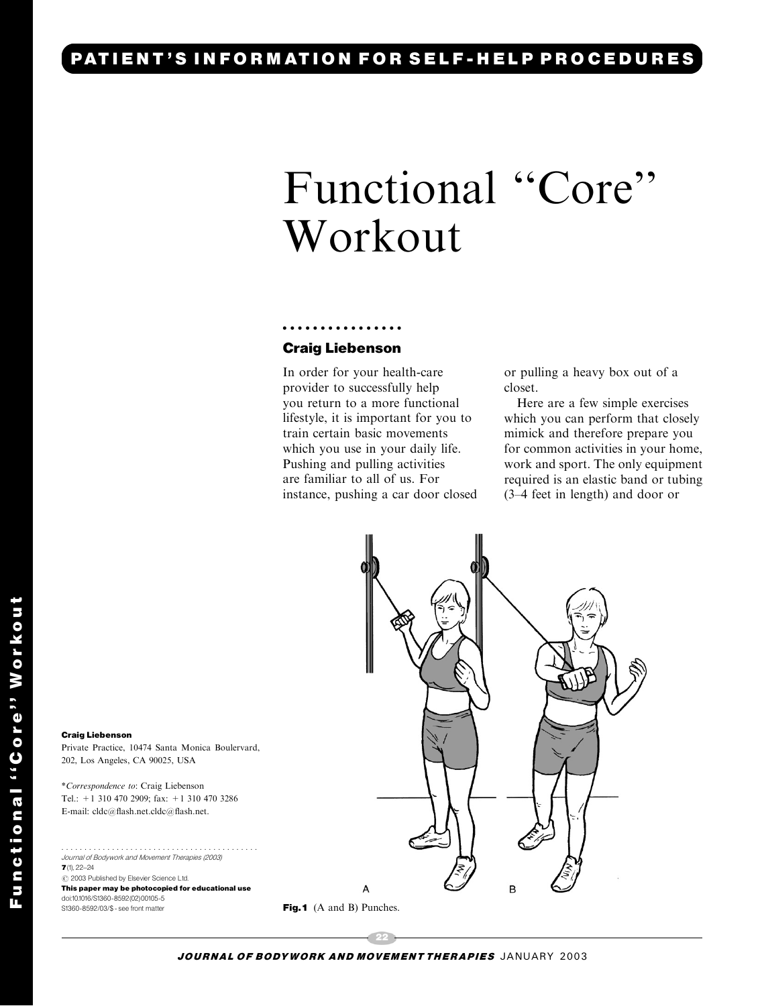# PATIENT'S INFORMATION FOR SELF-HELP PROCEDURES

# Functional ''Core'' Workout

### ................ Craig Liebenson

In order for your health-care provider to successfully help you return to a more functional lifestyle, it is important for you to train certain basic movements which you use in your daily life. Pushing and pulling activities are familiar to all of us. For instance, pushing a car door closed or pullinga heavy box out of a closet.

Here are a few simple exercises which you can perform that closely mimick and therefore prepare you for common activities in your home, work and sport. The only equipment required is an elastic band or tubing (3–4 feet in length) and door or



#### Craig Liebenson

Private Practice, 10474 Santa Monica Boulervard, 202, Los Angeles, CA 90025, USA

\*Correspondence to: Craig Liebenson Tel.: +1 310 470 2909; fax: +1 310 470 3286 E-mail: cldc@flash.net.cldc@flash.net.

........................................... Journal of Bodywork and Movement Therapies (2003)  $7(1)$ , 22-24  $\odot$  2003 Published by Elsevier Science Ltd. This paper may be photocopied for educational use doi:10.1016/S1360-8592(02)00105-5 S1360-8592/03/\$ - see front matter

Fig.1 (A and B) Punches.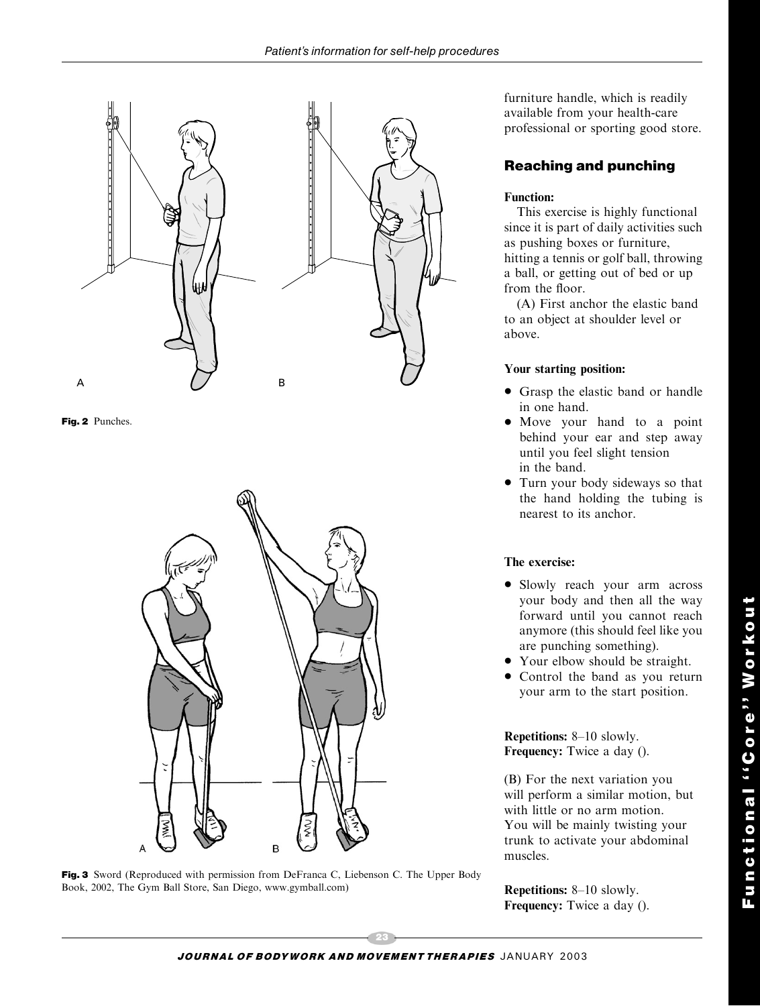

Fig. 2 Punches.



Fig. 3 Sword (Reproduced with permission from DeFranca C, Liebenson C. The Upper Body Book, 2002, The Gym Ball Store, San Diego, www.gymball.com)

furniture handle, which is readily available from your health-care professional or sporting good store.

## Reaching and punching

#### Function:

This exercise is highly functional since it is part of daily activities such as pushing boxes or furniture, hittinga tennis or golf ball, throwing a ball, or getting out of bed or up from the floor.

(A) First anchor the elastic band to an object at shoulder level or above.

#### Your starting position:

- Grasp the elastic band or handle in one hand.
- Move your hand to a point behind your ear and step away until you feel slight tension in the band.
- Turn your body sideways so that the hand holding the tubing is nearest to its anchor.

#### The exercise:

- Slowly reach your arm across your body and then all the way forward until you cannot reach anymore (this should feel like you are punching something).
- Your elbow should be straight.
- Control the band as you return your arm to the start position.

Repetitions: 8–10 slowly. Frequency: Twice a day ().

(B) For the next variation you will perform a similar motion, but with little or no arm motion. You will be mainly twisting your trunk to activate your abdominal muscles.

Repetitions: 8–10 slowly. Frequency: Twice a day ().